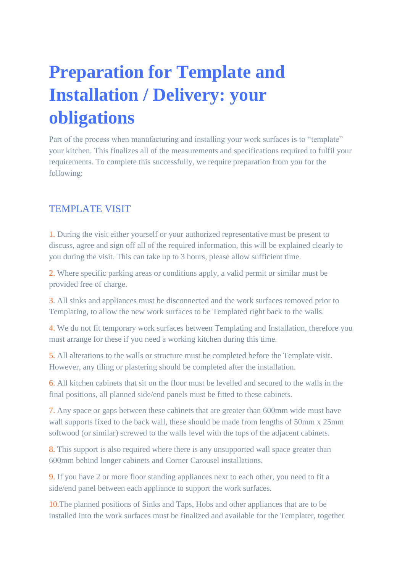## **Preparation for Template and Installation / Delivery: your obligations**

Part of the process when manufacturing and installing your work surfaces is to "template" your kitchen. This finalizes all of the measurements and specifications required to fulfil your requirements. To complete this successfully, we require preparation from you for the following:

## TEMPLATE VISIT

1. During the visit either yourself or your authorized representative must be present to discuss, agree and sign off all of the required information, this will be explained clearly to you during the visit. This can take up to 3 hours, please allow sufficient time.

2. Where specific parking areas or conditions apply, a valid permit or similar must be provided free of charge.

3. All sinks and appliances must be disconnected and the work surfaces removed prior to Templating, to allow the new work surfaces to be Templated right back to the walls.

4. We do not fit temporary work surfaces between Templating and Installation, therefore you must arrange for these if you need a working kitchen during this time.

5. All alterations to the walls or structure must be completed before the Template visit. However, any tiling or plastering should be completed after the installation.

6. All kitchen cabinets that sit on the floor must be levelled and secured to the walls in the final positions, all planned side/end panels must be fitted to these cabinets.

7. Any space or gaps between these cabinets that are greater than 600mm wide must have wall supports fixed to the back wall, these should be made from lengths of 50mm x 25mm softwood (or similar) screwed to the walls level with the tops of the adjacent cabinets.

8. This support is also required where there is any unsupported wall space greater than 600mm behind longer cabinets and Corner Carousel installations.

9. If you have 2 or more floor standing appliances next to each other, you need to fit a side/end panel between each appliance to support the work surfaces.

10.The planned positions of Sinks and Taps, Hobs and other appliances that are to be installed into the work surfaces must be finalized and available for the Templater, together